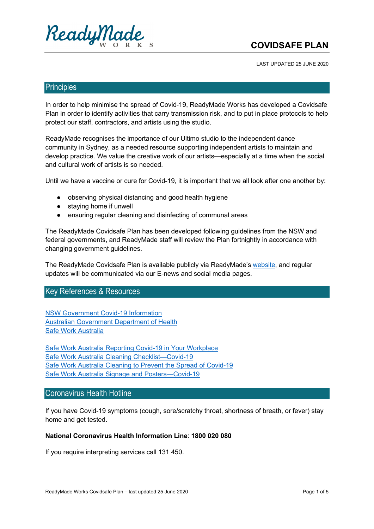

## **COVIDSAFE PLAN**

LAST UPDATED 25 JUNE 2020

#### **Principles**

In order to help minimise the spread of Covid-19, ReadyMade Works has developed a Covidsafe Plan in order to identify activities that carry transmission risk, and to put in place protocols to help protect our staff, contractors, and artists using the studio.

ReadyMade recognises the importance of our Ultimo studio to the independent dance community in Sydney, as a needed resource supporting independent artists to maintain and develop practice. We value the creative work of our artists—especially at a time when the social and cultural work of artists is so needed.

Until we have a vaccine or cure for Covid-19, it is important that we all look after one another by:

- observing physical distancing and good health hygiene
- staying home if unwell
- ensuring regular cleaning and disinfecting of communal areas

The ReadyMade Covidsafe Plan has been developed following guidelines from the NSW and federal governments, and ReadyMade staff will review the Plan fortnightly in accordance with changing government guidelines.

The ReadyMade Covidsafe Plan is available publicly via ReadyMade's website, and regular updates will be communicated via our E-news and social media pages.

### Key References & Resources

NSW Government Covid-19 Information Australian Government Department of Health Safe Work Australia

Safe Work Australia Reporting Covid-19 in Your Workplace Safe Work Australia Cleaning Checklist—Covid-19 Safe Work Australia Cleaning to Prevent the Spread of Covid-19 Safe Work Australia Signage and Posters—Covid-19

### Coronavirus Health Hotline

If you have Covid-19 symptoms (cough, sore/scratchy throat, shortness of breath, or fever) stay home and get tested.

#### **National Coronavirus Health Information Line**: **1800 020 080**

If you require interpreting services call 131 450.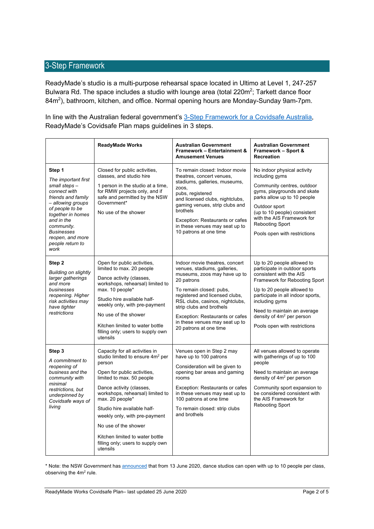### 3-Step Framework

ReadyMade's studio is a multi-purpose rehearsal space located in Ultimo at Level 1, 247-257 Bulwara Rd. The space includes a studio with lounge area (total 220m<sup>2</sup>; Tarkett dance floor 84m<sup>2</sup>), bathroom, kitchen, and office. Normal opening hours are Monday-Sunday 9am-7pm.

In line with the Australian federal government's 3-Step Framework for a Covidsafe Australia, ReadyMade's Covidsafe Plan maps guidelines in 3 steps.

|                                                                                                                                                                                                                                                   | <b>ReadyMade Works</b>                                                                                                                                                                                                                                                                                                                                                                                              | <b>Australian Government</b><br><b>Framework - Entertainment &amp;</b><br><b>Amusement Venues</b>                                                                                                                                                                                                                                       | <b>Australian Government</b><br>Framework - Sport &<br><b>Recreation</b>                                                                                                                                                                                                                                             |
|---------------------------------------------------------------------------------------------------------------------------------------------------------------------------------------------------------------------------------------------------|---------------------------------------------------------------------------------------------------------------------------------------------------------------------------------------------------------------------------------------------------------------------------------------------------------------------------------------------------------------------------------------------------------------------|-----------------------------------------------------------------------------------------------------------------------------------------------------------------------------------------------------------------------------------------------------------------------------------------------------------------------------------------|----------------------------------------------------------------------------------------------------------------------------------------------------------------------------------------------------------------------------------------------------------------------------------------------------------------------|
| Step 1<br>The important first<br>small steps-<br>connect with<br>friends and family<br>- allowing groups<br>of people to be<br>together in homes<br>and in the<br>community.<br><b>Businesses</b><br>reopen, and more<br>people return to<br>work | Closed for public activities,<br>classes, and studio hire<br>1 person in the studio at a time.<br>for RMW projects only, and if<br>safe and permitted by the NSW<br>Government*<br>No use of the shower                                                                                                                                                                                                             | To remain closed: Indoor movie<br>theatres, concert venues,<br>stadiums, galleries, museums,<br>Z00S,<br>pubs, registered<br>and licensed clubs, nightclubs,<br>gaming venues, strip clubs and<br>brothels<br>Exception: Restaurants or cafes<br>in these venues may seat up to<br>10 patrons at one time                               | No indoor physical activity<br>including gyms<br>Community centres, outdoor<br>gyms, playgrounds and skate<br>parks allow up to 10 people<br>Outdoor sport<br>(up to 10 people) consistent<br>with the AIS Framework for<br><b>Rebooting Sport</b><br>Pools open with restrictions                                   |
| Step 2<br><b>Building on slightly</b><br>larger gatherings<br>and more<br>businesses<br>reopening. Higher<br>risk activities may<br>have tighter<br>restrictions                                                                                  | Open for public activities,<br>limited to max. 20 people<br>Dance activity (classes,<br>workshops, rehearsal) limited to<br>max. 10 people*<br>Studio hire available half-<br>weekly only, with pre-payment<br>No use of the shower<br>Kitchen limited to water bottle<br>filling only; users to supply own<br>utensils                                                                                             | Indoor movie theatres, concert<br>venues, stadiums, galleries,<br>museums, zoos may have up to<br>20 patrons<br>To remain closed: pubs,<br>registered and licensed clubs,<br>RSL clubs, casinos, nightclubs,<br>strip clubs and brothels<br>Exception: Restaurants or cafes<br>in these venues may seat up to<br>20 patrons at one time | Up to 20 people allowed to<br>participate in outdoor sports<br>consistent with the AIS<br>Framework for Rebooting Sport<br>Up to 20 people allowed to<br>participate in all indoor sports,<br>including gyms<br>Need to maintain an average<br>density of 4m <sup>2</sup> per person<br>Pools open with restrictions |
| Step 3<br>A commitment to<br>reopening of<br>business and the<br>community with<br>minimal<br>restrictions, but<br>underpinned by<br>Covidsafe ways of<br>living                                                                                  | Capacity for all activities in<br>studio limited to ensure 4m <sup>2</sup> per<br>person<br>Open for public activities,<br>limited to max. 50 people<br>Dance activity (classes,<br>workshops, rehearsal) limited to<br>max. 20 people*<br>Studio hire available half-<br>weekly only, with pre-payment<br>No use of the shower<br>Kitchen limited to water bottle<br>filling only; users to supply own<br>utensils | Venues open in Step 2 may<br>have up to 100 patrons<br>Consideration will be given to<br>opening bar areas and gaming<br>rooms<br>Exception: Restaurants or cafes<br>in these venues may seat up to<br>100 patrons at one time<br>To remain closed: strip clubs<br>and brothels                                                         | All venues allowed to operate<br>with gatherings of up to 100<br>people<br>Need to maintain an average<br>density of 4m <sup>2</sup> per person<br>Community sport expansion to<br>be considered consistent with<br>the AIS Framework for<br><b>Rebooting Sport</b>                                                  |

\* Note: the NSW Government has announced that from 13 June 2020, dance studios can open with up to 10 people per class, observing the  $4m<sup>2</sup>$  rule.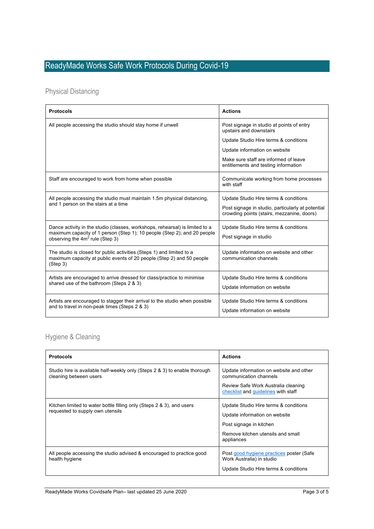# ReadyMade Works Safe Work Protocols During Covid-19

## Physical Distancing

| <b>Protocols</b>                                                                                                                                                                                        | <b>Actions</b>                                                                                  |
|---------------------------------------------------------------------------------------------------------------------------------------------------------------------------------------------------------|-------------------------------------------------------------------------------------------------|
| All people accessing the studio should stay home if unwell                                                                                                                                              | Post signage in studio at points of entry<br>upstairs and downstairs                            |
|                                                                                                                                                                                                         | Update Studio Hire terms & conditions                                                           |
|                                                                                                                                                                                                         | Update information on website                                                                   |
|                                                                                                                                                                                                         | Make sure staff are informed of leave<br>entitlements and testing information                   |
| Staff are encouraged to work from home when possible                                                                                                                                                    | Communicate working from home processes<br>with staff                                           |
| All people accessing the studio must maintain 1.5m physical distancing,                                                                                                                                 | Update Studio Hire terms & conditions                                                           |
| and 1 person on the stairs at a time                                                                                                                                                                    | Post signage in studio, particularly at potential<br>crowding points (stairs, mezzanine, doors) |
| Dance activity in the studio (classes, workshops, rehearsal) is limited to a<br>maximum capacity of 1 person (Step 1); 10 people (Step 2); and 20 people<br>observing the 4m <sup>2</sup> rule (Step 3) | Update Studio Hire terms & conditions<br>Post signage in studio                                 |
| The studio is closed for public activities (Steps 1) and limited to a<br>maximum capacity at public events of 20 people (Step 2) and 50 people<br>(Step 3)                                              | Update information on website and other<br>communication channels                               |
| Artists are encouraged to arrive dressed for class/practice to minimise                                                                                                                                 | Update Studio Hire terms & conditions                                                           |
| shared use of the bathroom (Steps 2 & 3)                                                                                                                                                                | Update information on website                                                                   |
| Artists are encouraged to stagger their arrival to the studio when possible<br>and to travel in non-peak times (Steps 2 & 3)                                                                            | Update Studio Hire terms & conditions<br>Update information on website                          |

## Hygiene & Cleaning

| <b>Protocols</b>                                                                                          | <b>Actions</b>                                                                                                                                       |
|-----------------------------------------------------------------------------------------------------------|------------------------------------------------------------------------------------------------------------------------------------------------------|
| Studio hire is available half-weekly only (Steps 2 & 3) to enable thorough<br>cleaning between users      | Update information on website and other<br>communication channels<br>Review Safe Work Australia cleaning<br>checklist and guidelines with staff      |
| Kitchen limited to water bottle filling only (Steps 2 & 3), and users<br>requested to supply own utensils | Update Studio Hire terms & conditions<br>Update information on website<br>Post signage in kitchen<br>Remove kitchen utensils and small<br>appliances |
| All people accessing the studio advised & encouraged to practice good<br>health hygiene                   | Post good hygiene practices poster (Safe)<br>Work Australia) in studio<br>Update Studio Hire terms & conditions                                      |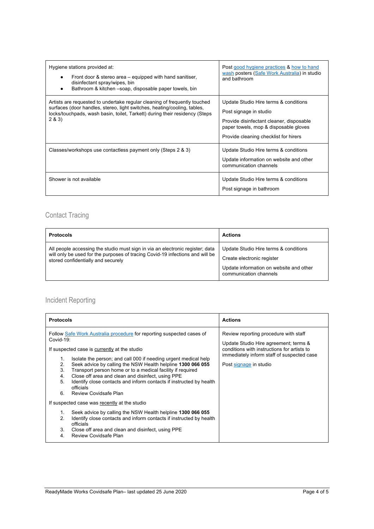| Hygiene stations provided at:<br>Front door & stereo area – equipped with hand sanitiser,<br>$\bullet$<br>disinfectant spray/wipes, bin<br>Bathroom & kitchen -soap, disposable paper towels, bin                                              | Post good hygiene practices & how to hand<br>wash posters (Safe Work Australia) in studio<br>and bathroom                                                                                     |
|------------------------------------------------------------------------------------------------------------------------------------------------------------------------------------------------------------------------------------------------|-----------------------------------------------------------------------------------------------------------------------------------------------------------------------------------------------|
| Artists are requested to undertake regular cleaning of frequently touched<br>surfaces (door handles, stereo, light switches, heating/cooling, tables,<br>locks/touchpads, wash basin, toilet, Tarkett) during their residency (Steps<br>2 & 3) | Update Studio Hire terms & conditions<br>Post signage in studio<br>Provide disinfectant cleaner, disposable<br>paper towels, mop & disposable gloves<br>Provide cleaning checklist for hirers |
| Classes/workshops use contactless payment only (Steps 2 & 3)                                                                                                                                                                                   | Update Studio Hire terms & conditions<br>Update information on website and other<br>communication channels                                                                                    |
| Shower is not available                                                                                                                                                                                                                        | Update Studio Hire terms & conditions<br>Post signage in bathroom                                                                                                                             |

## Contact Tracing

| <b>Protocols</b>                                                                                                                                                                                     | <b>Actions</b>                                                                                                                           |
|------------------------------------------------------------------------------------------------------------------------------------------------------------------------------------------------------|------------------------------------------------------------------------------------------------------------------------------------------|
| All people accessing the studio must sign in via an electronic register; data<br>will only be used for the purposes of tracing Covid-19 infections and will be<br>stored confidentially and securely | Update Studio Hire terms & conditions<br>Create electronic register<br>Update information on website and other<br>communication channels |

## Incident Reporting

| <b>Protocols</b>                                                                                                                                                                                                                                                                                                                                                                                                                                                                                                                         | <b>Actions</b>                                                                                                                                                                                        |
|------------------------------------------------------------------------------------------------------------------------------------------------------------------------------------------------------------------------------------------------------------------------------------------------------------------------------------------------------------------------------------------------------------------------------------------------------------------------------------------------------------------------------------------|-------------------------------------------------------------------------------------------------------------------------------------------------------------------------------------------------------|
| Follow Safe Work Australia procedure for reporting suspected cases of<br>Covid-19:<br>If suspected case is currently at the studio<br>Isolate the person; and call 000 if needing urgent medical help<br>1.<br>Seek advice by calling the NSW Health helpline 1300 066 055<br>2.<br>3.<br>Transport person home or to a medical facility if required<br>Close off area and clean and disinfect, using PPE<br>4.<br>Identify close contacts and inform contacts if instructed by health<br>5.<br>officials<br>Review Covidsafe Plan<br>6. | Review reporting procedure with staff<br>Update Studio Hire agreement; terms &<br>conditions with instructions for artists to<br>immediately inform staff of suspected case<br>Post signage in studio |
| If suspected case was recently at the studio                                                                                                                                                                                                                                                                                                                                                                                                                                                                                             |                                                                                                                                                                                                       |
| Seek advice by calling the NSW Health helpline 1300 066 055<br>1.<br>2.<br>Identify close contacts and inform contacts if instructed by health<br>officials<br>3.<br>Close off area and clean and disinfect, using PPE<br>Review Covidsafe Plan<br>4.                                                                                                                                                                                                                                                                                    |                                                                                                                                                                                                       |